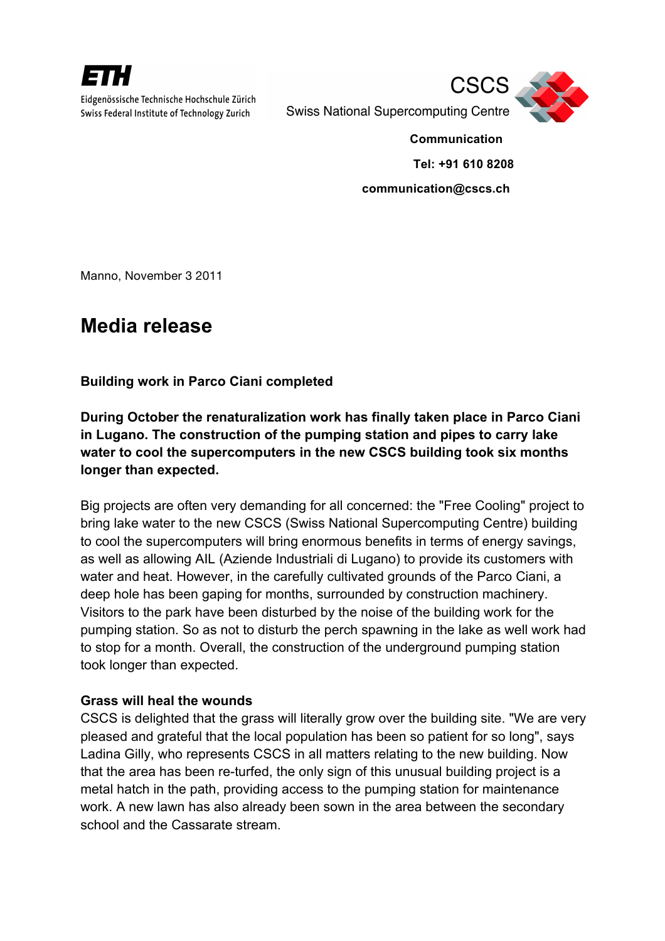

Eidgenössische Technische Hochschule Zürich Swiss Federal Institute of Technology Zurich



**Swiss National Supercomputing Centre** 

 **Tel: +91 610 8208**

 **Communication**

**communication@cscs.ch**

Manno, November 3 2011

## **Media release**

**Building work in Parco Ciani completed**

**During October the renaturalization work has finally taken place in Parco Ciani in Lugano. The construction of the pumping station and pipes to carry lake water to cool the supercomputers in the new CSCS building took six months longer than expected.**

Big projects are often very demanding for all concerned: the "Free Cooling" project to bring lake water to the new CSCS (Swiss National Supercomputing Centre) building to cool the supercomputers will bring enormous benefits in terms of energy savings, as well as allowing AIL (Aziende Industriali di Lugano) to provide its customers with water and heat. However, in the carefully cultivated grounds of the Parco Ciani, a deep hole has been gaping for months, surrounded by construction machinery. Visitors to the park have been disturbed by the noise of the building work for the pumping station. So as not to disturb the perch spawning in the lake as well work had to stop for a month. Overall, the construction of the underground pumping station took longer than expected.

## **Grass will heal the wounds**

CSCS is delighted that the grass will literally grow over the building site. "We are very pleased and grateful that the local population has been so patient for so long", says Ladina Gilly, who represents CSCS in all matters relating to the new building. Now that the area has been re-turfed, the only sign of this unusual building project is a metal hatch in the path, providing access to the pumping station for maintenance work. A new lawn has also already been sown in the area between the secondary school and the Cassarate stream.